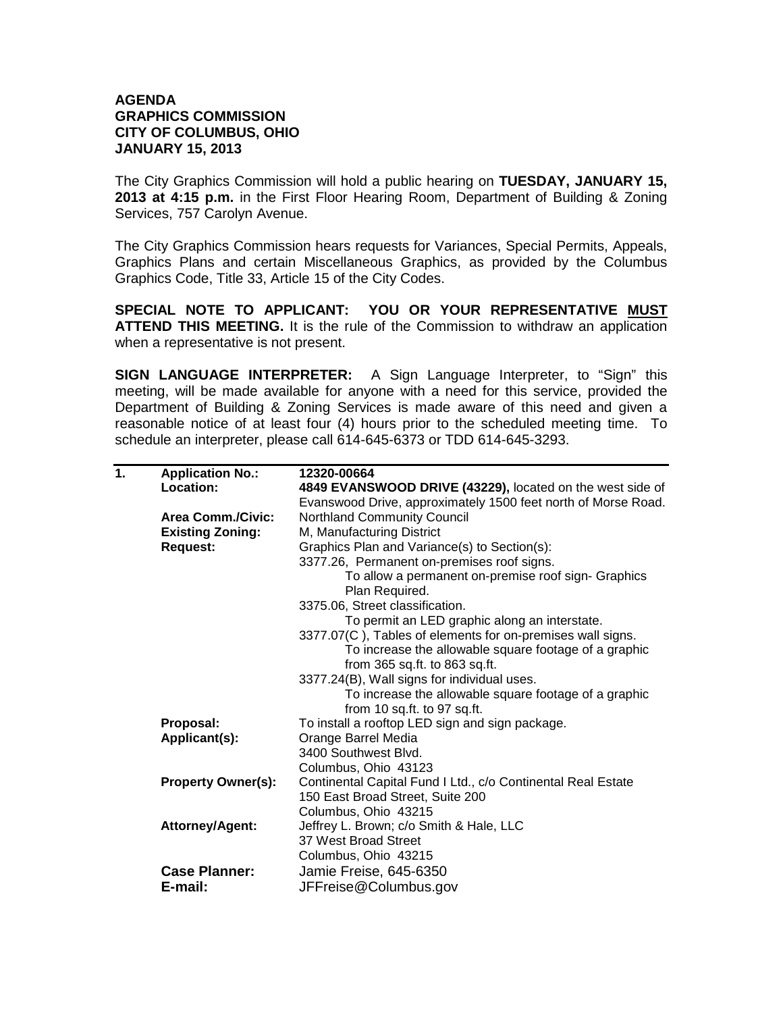## **AGENDA GRAPHICS COMMISSION CITY OF COLUMBUS, OHIO JANUARY 15, 2013**

The City Graphics Commission will hold a public hearing on **TUESDAY, JANUARY 15, 2013 at 4:15 p.m.** in the First Floor Hearing Room, Department of Building & Zoning Services, 757 Carolyn Avenue.

The City Graphics Commission hears requests for Variances, Special Permits, Appeals, Graphics Plans and certain Miscellaneous Graphics, as provided by the Columbus Graphics Code, Title 33, Article 15 of the City Codes.

**SPECIAL NOTE TO APPLICANT: YOU OR YOUR REPRESENTATIVE MUST ATTEND THIS MEETING.** It is the rule of the Commission to withdraw an application when a representative is not present.

**SIGN LANGUAGE INTERPRETER:** A Sign Language Interpreter, to "Sign" this meeting, will be made available for anyone with a need for this service, provided the Department of Building & Zoning Services is made aware of this need and given a reasonable notice of at least four (4) hours prior to the scheduled meeting time. To schedule an interpreter, please call 614-645-6373 or TDD 614-645-3293.

| 1. | <b>Application No.:</b>   | 12320-00664                                                           |
|----|---------------------------|-----------------------------------------------------------------------|
|    | Location:                 | 4849 EVANSWOOD DRIVE (43229), located on the west side of             |
|    |                           | Evanswood Drive, approximately 1500 feet north of Morse Road.         |
|    | <b>Area Comm./Civic:</b>  | <b>Northland Community Council</b>                                    |
|    | <b>Existing Zoning:</b>   | M, Manufacturing District                                             |
|    | <b>Request:</b>           | Graphics Plan and Variance(s) to Section(s):                          |
|    |                           | 3377.26, Permanent on-premises roof signs.                            |
|    |                           | To allow a permanent on-premise roof sign- Graphics<br>Plan Required. |
|    |                           | 3375.06, Street classification.                                       |
|    |                           | To permit an LED graphic along an interstate.                         |
|    |                           | 3377.07(C), Tables of elements for on-premises wall signs.            |
|    |                           | To increase the allowable square footage of a graphic                 |
|    |                           | from 365 sq.ft. to 863 sq.ft.                                         |
|    |                           | 3377.24(B), Wall signs for individual uses.                           |
|    |                           | To increase the allowable square footage of a graphic                 |
|    |                           | from 10 sq.ft. to 97 sq.ft.                                           |
|    | Proposal:                 | To install a rooftop LED sign and sign package.                       |
|    | Applicant(s):             | Orange Barrel Media                                                   |
|    |                           | 3400 Southwest Blvd.                                                  |
|    |                           | Columbus, Ohio 43123                                                  |
|    | <b>Property Owner(s):</b> | Continental Capital Fund I Ltd., c/o Continental Real Estate          |
|    |                           | 150 East Broad Street, Suite 200                                      |
|    |                           | Columbus, Ohio 43215                                                  |
|    | <b>Attorney/Agent:</b>    | Jeffrey L. Brown; c/o Smith & Hale, LLC                               |
|    |                           | 37 West Broad Street                                                  |
|    |                           | Columbus, Ohio 43215                                                  |
|    | <b>Case Planner:</b>      | Jamie Freise, 645-6350                                                |
|    | E-mail:                   | JFFreise@Columbus.gov                                                 |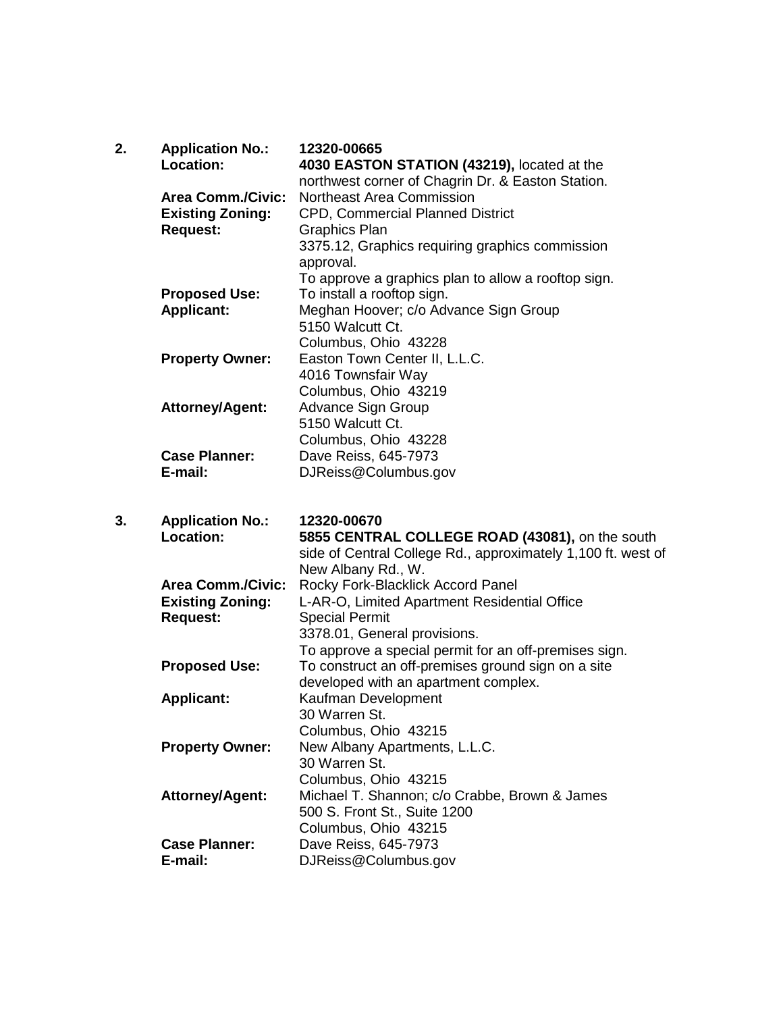| 2. | <b>Application No.:</b><br>Location: | 12320-00665<br>4030 EASTON STATION (43219), located at the                     |
|----|--------------------------------------|--------------------------------------------------------------------------------|
|    | <b>Area Comm./Civic:</b>             | northwest corner of Chagrin Dr. & Easton Station.<br>Northeast Area Commission |
|    | <b>Existing Zoning:</b>              | CPD, Commercial Planned District                                               |
|    | <b>Request:</b>                      | <b>Graphics Plan</b>                                                           |
|    |                                      | 3375.12, Graphics requiring graphics commission                                |
|    |                                      | approval.                                                                      |
|    |                                      | To approve a graphics plan to allow a rooftop sign.                            |
|    | <b>Proposed Use:</b>                 | To install a rooftop sign.                                                     |
|    | <b>Applicant:</b>                    | Meghan Hoover; c/o Advance Sign Group                                          |
|    |                                      | 5150 Walcutt Ct.                                                               |
|    |                                      | Columbus, Ohio 43228                                                           |
|    | <b>Property Owner:</b>               | Easton Town Center II, L.L.C.                                                  |
|    |                                      | 4016 Townsfair Way                                                             |
|    |                                      | Columbus, Ohio 43219                                                           |
|    | Attorney/Agent:                      | Advance Sign Group                                                             |
|    |                                      | 5150 Walcutt Ct.                                                               |
|    |                                      | Columbus, Ohio 43228                                                           |
|    | <b>Case Planner:</b>                 | Dave Reiss, 645-7973                                                           |
|    | E-mail:                              | DJReiss@Columbus.gov                                                           |
|    |                                      |                                                                                |
|    |                                      |                                                                                |
| 3. | <b>Application No.:</b>              | 12320-00670                                                                    |
|    | <b>Location:</b>                     | 5855 CENTRAL COLLEGE ROAD (43081), on the south                                |
|    |                                      | side of Central College Rd., approximately 1,100 ft. west of                   |
|    |                                      | New Albany Rd., W.                                                             |
|    | <b>Area Comm./Civic:</b>             | Rocky Fork-Blacklick Accord Panel                                              |
|    | <b>Existing Zoning:</b>              | L-AR-O, Limited Apartment Residential Office                                   |
|    | <b>Request:</b>                      | <b>Special Permit</b>                                                          |
|    |                                      | 3378.01, General provisions.                                                   |
|    |                                      | To approve a special permit for an off-premises sign.                          |
|    | <b>Proposed Use:</b>                 | To construct an off-premises ground sign on a site                             |
|    |                                      | developed with an apartment complex.                                           |
|    | <b>Applicant:</b>                    | Kaufman Development<br>30 Warren St.                                           |
|    |                                      | Columbus, Ohio 43215                                                           |
|    | <b>Property Owner:</b>               |                                                                                |
|    |                                      | New Albany Apartments, L.L.C.<br>30 Warren St.                                 |
|    |                                      | Columbus, Ohio 43215                                                           |
|    | <b>Attorney/Agent:</b>               | Michael T. Shannon; c/o Crabbe, Brown & James                                  |
|    |                                      | 500 S. Front St., Suite 1200                                                   |
|    |                                      | Columbus, Ohio 43215                                                           |
|    | <b>Case Planner:</b><br>E-mail:      | Dave Reiss, 645-7973<br>DJReiss@Columbus.gov                                   |